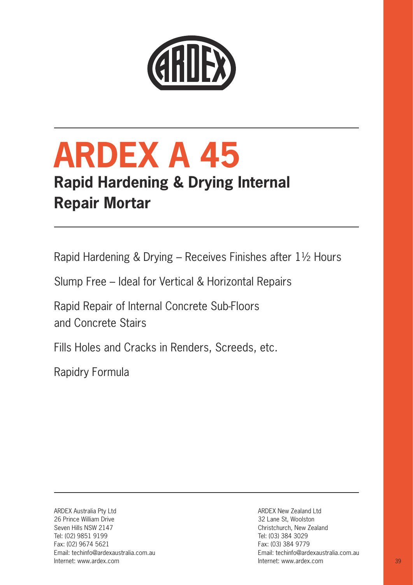

# **ARDEX A 45**

## **Rapid Hardening & Drying Internal Repair Mortar**

Rapid Hardening & Drying – Receives Finishes after 11⁄2 Hours

Slump Free – Ideal for Vertical & Horizontal Repairs

Rapid Repair of Internal Concrete Sub-Floors and Concrete Stairs

Fills Holes and Cracks in Renders, Screeds, etc.

Rapidry Formula

ARDEX Australia Pty Ltd 26 Prince William Drive Seven Hills NSW 2147 Tel: (02) 9851 9199 Fax: (02) 9674 5621 Email: techinfo@ardexaustralia.com.au

ARDEX New Zealand Ltd 32 Lane St, Woolston Christchurch, New Zealand Tel: (03) 384 3029 Fax: (03) 384 9779 Email: techinfo@ardexaustralia.com.au Internet: www.ardex.com Internet: www.ardex.com 39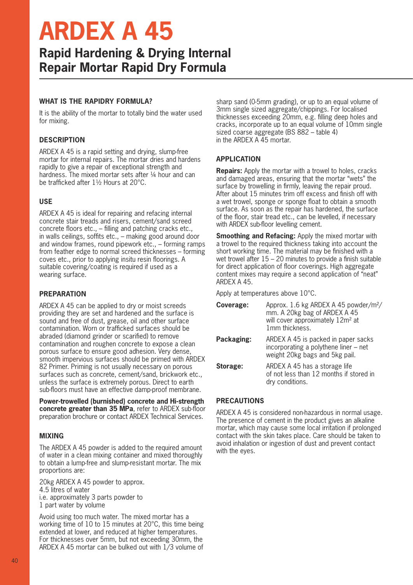# **ARDEX A 45**

### **Rapid Hardening & Drying Internal Repair Mortar Rapid Dry Formula**

#### **WHAT IS THE RAPIDRY FORMULA?**

It is the ability of the mortar to totally bind the water used for mixing.

#### **DESCRIPTION**

ARDEX A 45 is a rapid setting and drying, slump-free mortar for internal repairs. The mortar dries and hardens rapidly to give a repair of exceptional strength and hardness. The mixed mortar sets after 1/4 hour and can be trafficked after 11/2 Hours at 20°C.

#### **USE**

ARDEX A 45 is ideal for repairing and refacing internal concrete stair treads and risers, cement/sand screed concrete floors etc., – filling and patching cracks etc., in walls ceilings, soffits etc., – making good around door and window frames, round pipework etc., – forming ramps from feather edge to normal screed thicknesses – forming coves etc., prior to applying insitu resin floorings. A suitable covering/coating is required if used as a wearing surface.

#### **PREPARATION**

ARDEX A 45 can be applied to dry or moist screeds providing they are set and hardened and the surface is sound and free of dust, grease, oil and other surface contamination. Worn or trafficked surfaces should be abraded (diamond grinder or scarified) to remove contamination and roughen concrete to expose a clean porous surface to ensure good adhesion. Very dense, smooth impervious surfaces should be primed with ARDEX 82 Primer. Priming is not usually necessary on porous surfaces such as concrete, cement/sand, brickwork etc., unless the surface is extremely porous. Direct to earth sub-floors must have an effective damp-proof membrane.

**Power-trowelled (burnished) concrete and Hi-strength concrete greater than 35 MPa**, refer to ARDEX sub-floor preparation brochure or contact ARDEX Technical Services.

#### **MIXING**

The ARDEX A 45 powder is added to the required amount of water in a clean mixing container and mixed thoroughly to obtain a lump-free and slump-resistant mortar. The mix proportions are:

20kg ARDEX A 45 powder to approx. 4.5 litres of water i.e. approximately 3 parts powder to 1 part water by volume

Avoid using too much water. The mixed mortar has a working time of 10 to 15 minutes at 20°C, this time being extended at lower, and reduced at higher temperatures. For thicknesses over 5mm, but not exceeding 30mm, the ARDEX A 45 mortar can be bulked out with 1/3 volume of

sharp sand (0-5mm grading), or up to an equal volume of 3mm single sized aggregate/chippings. For localised thicknesses exceeding 20mm, e.g. filling deep holes and cracks, incorporate up to an equal volume of 10mm single sized coarse aggregate (BS 882 – table 4) in the ARDEX A 45 mortar.

#### **APPLICATION**

**Repairs:** Apply the mortar with a trowel to holes, cracks and damaged areas, ensuring that the mortar "wets" the surface by trowelling in firmly, leaving the repair proud. After about 15 minutes trim off excess and finish off with a wet trowel, sponge or sponge float to obtain a smooth surface. As soon as the repair has hardened, the surface of the floor, stair tread etc., can be levelled, if necessary with ARDEX sub-floor levelling cement.

**Smoothing and Refacing:** Apply the mixed mortar with a trowel to the required thickness taking into account the short working time. The material may be finished with a wet trowel after 15 – 20 minutes to provide a finish suitable for direct application of floor coverings. High aggregate content mixes may require a second application of "neat" ARDEX A 45.

Apply at temperatures above 10°C.

| Coverage:  | Approx. 1.6 kg ARDEX A 45 powder/m <sup>2</sup> /<br>mm. A 20kg bag of ARDEX A 45<br>will cover approximately 12m <sup>2</sup> at<br>1mm thickness. |
|------------|-----------------------------------------------------------------------------------------------------------------------------------------------------|
| Packaging: | ARDEX A 45 is packed in paper sacks<br>incorporating a polythene liner $-$ net<br>weight 20kg bags and 5kg pail.                                    |
| Storage:   | ARDEX A 45 has a storage life<br>of not less than 12 months if stored in<br>dry conditions.                                                         |

#### **PRECAUTIONS**

ARDEX A 45 is considered non-hazardous in normal usage. The presence of cement in the product gives an alkaline mortar, which may cause some local irritation if prolonged contact with the skin takes place. Care should be taken to avoid inhalation or ingestion of dust and prevent contact with the eyes.